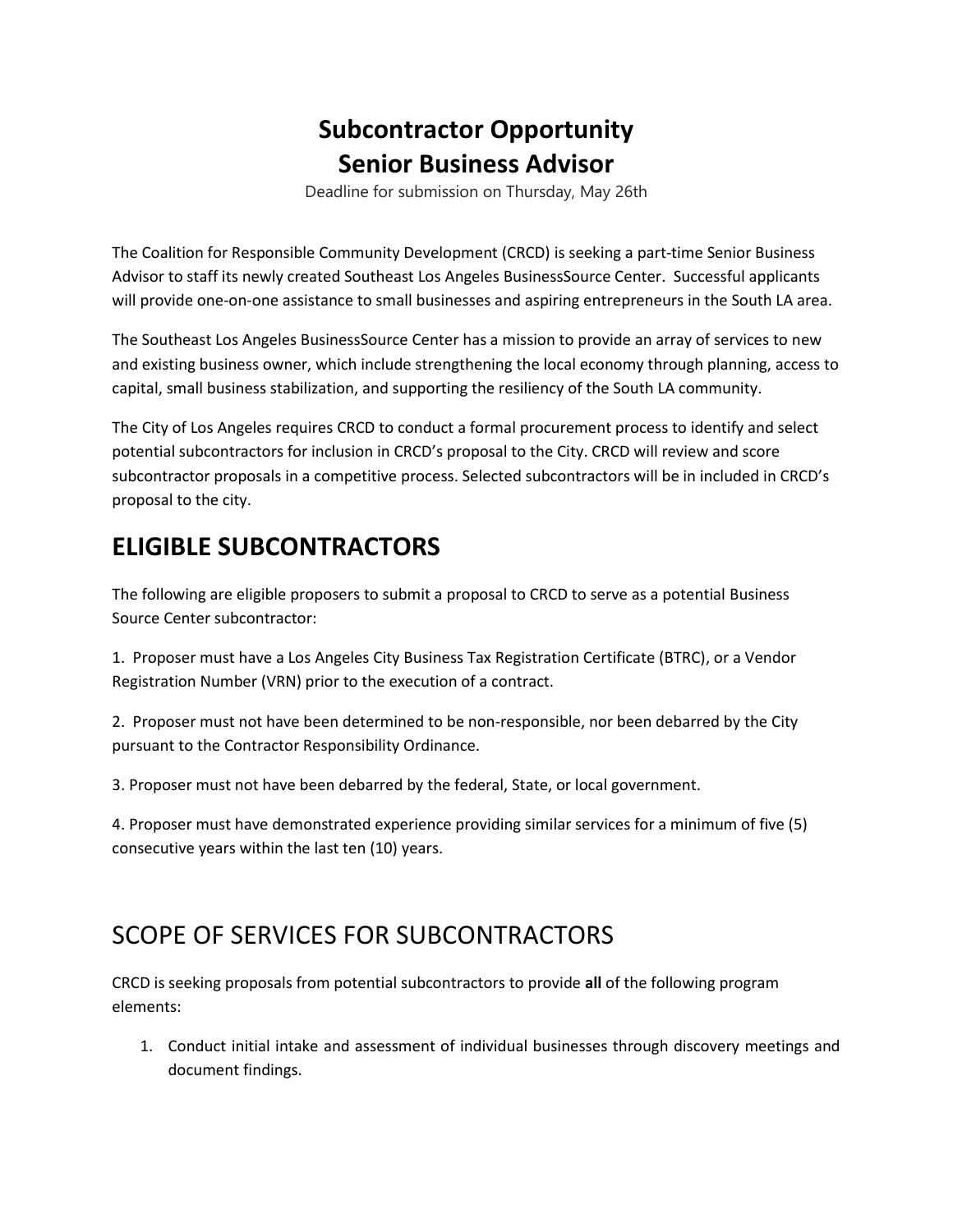## **Subcontractor Opportunity Senior Business Advisor**

Deadline for submission on Thursday, May 26th

The Coalition for Responsible Community Development (CRCD) is seeking a part-time Senior Business Advisor to staff its newly created Southeast Los Angeles BusinessSource Center. Successful applicants will provide one-on-one assistance to small businesses and aspiring entrepreneurs in the South LA area.

The Southeast Los Angeles BusinessSource Center has a mission to provide an array of services to new and existing business owner, which include strengthening the local economy through planning, access to capital, small business stabilization, and supporting the resiliency of the South LA community.

The City of Los Angeles requires CRCD to conduct a formal procurement process to identify and select potential subcontractors for inclusion in CRCD's proposal to the City. CRCD will review and score subcontractor proposals in a competitive process. Selected subcontractors will be in included in CRCD's proposal to the city.

## **ELIGIBLE SUBCONTRACTORS**

The following are eligible proposers to submit a proposal to CRCD to serve as a potential Business Source Center subcontractor:

1. Proposer must have a Los Angeles City Business Tax Registration Certificate (BTRC), or a Vendor Registration Number (VRN) prior to the execution of a contract.

2. Proposer must not have been determined to be non-responsible, nor been debarred by the City pursuant to the Contractor Responsibility Ordinance.

3. Proposer must not have been debarred by the federal, State, or local government.

4. Proposer must have demonstrated experience providing similar services for a minimum of five (5) consecutive years within the last ten (10) years.

## SCOPE OF SERVICES FOR SUBCONTRACTORS

CRCD is seeking proposals from potential subcontractors to provide **all** of the following program elements:

1. Conduct initial intake and assessment of individual businesses through discovery meetings and document findings.